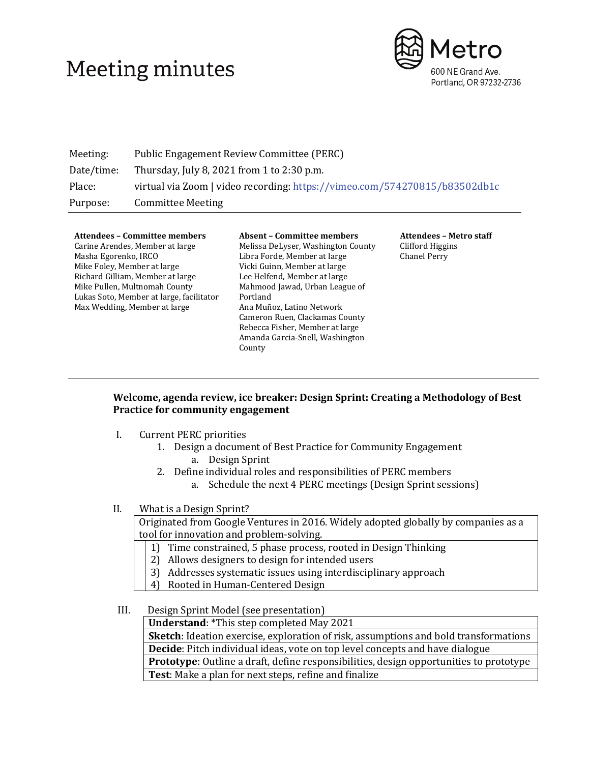# Meeting minutes



| Meeting:   | Public Engagement Review Committee (PERC)                                  |  |  |
|------------|----------------------------------------------------------------------------|--|--|
| Date/time: | Thursday, July 8, 2021 from 1 to 2:30 p.m.                                 |  |  |
| Place:     | virtual via Zoom   video recording: https://vimeo.com/574270815/b83502db1c |  |  |
| Purpose:   | <b>Committee Meeting</b>                                                   |  |  |

#### **Attendees – Committee members**

Carine Arendes, Member at large Masha Egorenko, IRCO Mike Foley, Member at large Richard Gilliam, Member at large Mike Pullen, Multnomah County Lukas Soto, Member at large, facilitator Max Wedding, Member at large

#### **Absent – Committee members** Melissa DeLyser, Washington County Libra Forde, Member at large Vicki Guinn, Member at large Lee Helfend, Member at large Mahmood Jawad, Urban League of Portland Ana Muñoz, Latino Network Cameron Ruen, Clackamas County Rebecca Fisher, Member at large Amanda Garcia-Snell, Washington County

**Attendees – Metro staff** Clifford Higgins Chanel Perry

### **Welcome, agenda review, ice breaker: Design Sprint: Creating a Methodology of Best Practice for community engagement**

- I. Current PERC priorities
	- 1. Design a document of Best Practice for Community Engagement a. Design Sprint
	- 2. Define individual roles and responsibilities of PERC members
		- a. Schedule the next 4 PERC meetings (Design Sprint sessions)

### II. What is a Design Sprint?

Originated from Google Ventures in 2016. Widely adopted globally by companies as a tool for innovation and problem-solving.

- 1) Time constrained, 5 phase process, rooted in Design Thinking
- 2) Allows designers to design for intended users
- 3) Addresses systematic issues using interdisciplinary approach
- 4) Rooted in Human-Centered Design

### III. Design Sprint Model (see presentation)

**Understand**: \*This step completed May 2021

**Sketch**: Ideation exercise, exploration of risk, assumptions and bold transformations **Decide**: Pitch individual ideas, vote on top level concepts and have dialogue **Prototype**: Outline a draft, define responsibilities, design opportunities to prototype

**Test**: Make a plan for next steps, refine and finalize